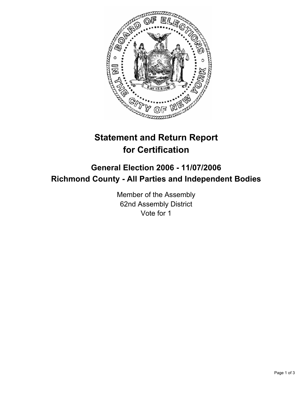

## **Statement and Return Report for Certification**

## **General Election 2006 - 11/07/2006 Richmond County - All Parties and Independent Bodies**

Member of the Assembly 62nd Assembly District Vote for 1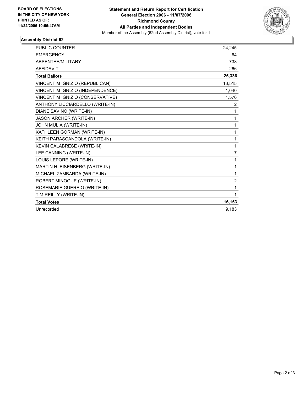

## **Assembly District 62**

| PUBLIC COUNTER                   | 24,245         |
|----------------------------------|----------------|
| <b>EMERGENCY</b>                 | 64             |
| ABSENTEE/MILITARY                | 738            |
| <b>AFFIDAVIT</b>                 | 266            |
| <b>Total Ballots</b>             | 25,336         |
| VINCENT M IGNIZIO (REPUBLICAN)   | 13,515         |
| VINCENT M IGNIZIO (INDEPENDENCE) | 1,040          |
| VINCENT M IGNIZIO (CONSERVATIVE) | 1,576          |
| ANTHONY LICCIARDELLO (WRITE-IN)  | $\overline{2}$ |
| DIANE SAVINO (WRITE-IN)          | 1              |
| <b>JASON ARCHER (WRITE-IN)</b>   | 1              |
| JOHN MULIA (WRITE-IN)            | 1              |
| KATHLEEN GORMAN (WRITE-IN)       | 1              |
| KEITH PARASCANDOLA (WRITE-IN)    | 1              |
| KEVIN CALABRESE (WRITE-IN)       | 1              |
| LEE CANNING (WRITE-IN)           | 7              |
| LOUIS LEPORE (WRITE-IN)          | 1              |
| MARTIN H. EISENBERG (WRITE-IN)   | 1              |
| MICHAEL ZAMBARDA (WRITE-IN)      | 1              |
| ROBERT MINOGUE (WRITE-IN)        | 2              |
| ROSEMARIE GUEREIO (WRITE-IN)     | 1              |
| TIM REILLY (WRITE-IN)            | 1              |
| <b>Total Votes</b>               | 16,153         |
| Unrecorded                       | 9,183          |